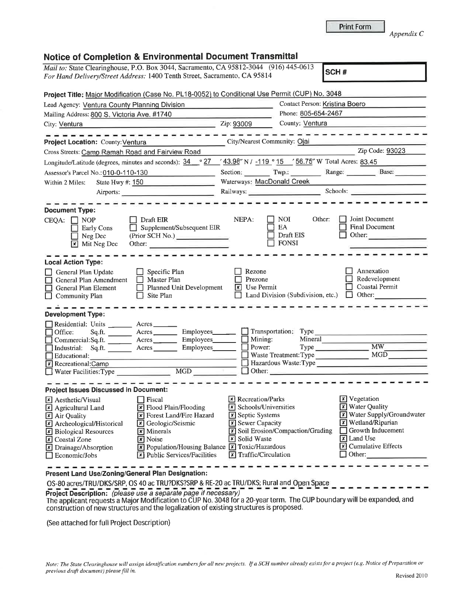| Appendix C |  |
|------------|--|
|            |  |

| <b>Notice of Completion &amp; Environmental Document Transmittal</b>                                                                                                                                                                                                                                                                                                                                                                                                                                              |                                                                                                                                                                                                                                                                                                   |                                                                                                                                                                                                                 |  |
|-------------------------------------------------------------------------------------------------------------------------------------------------------------------------------------------------------------------------------------------------------------------------------------------------------------------------------------------------------------------------------------------------------------------------------------------------------------------------------------------------------------------|---------------------------------------------------------------------------------------------------------------------------------------------------------------------------------------------------------------------------------------------------------------------------------------------------|-----------------------------------------------------------------------------------------------------------------------------------------------------------------------------------------------------------------|--|
| Mail to: State Clearinghouse, P.O. Box 3044, Sacramento, CA 95812-3044 (916) 445-0613<br>For Hand Delivery/Street Address: 1400 Tenth Street, Sacramento, CA 95814                                                                                                                                                                                                                                                                                                                                                |                                                                                                                                                                                                                                                                                                   | SCH#                                                                                                                                                                                                            |  |
| Project Title: Major Modification (Case No. PL18-0052) to Conditional Use Permit (CUP) No. 3048                                                                                                                                                                                                                                                                                                                                                                                                                   |                                                                                                                                                                                                                                                                                                   |                                                                                                                                                                                                                 |  |
| Lead Agency: Ventura County Planning Division                                                                                                                                                                                                                                                                                                                                                                                                                                                                     |                                                                                                                                                                                                                                                                                                   | Contact Person: Kristina Boero                                                                                                                                                                                  |  |
| Mailing Address: 800 S, Victoria Ave. #1740                                                                                                                                                                                                                                                                                                                                                                                                                                                                       |                                                                                                                                                                                                                                                                                                   | Phone: 805-654-2467                                                                                                                                                                                             |  |
| City: Ventura                                                                                                                                                                                                                                                                                                                                                                                                                                                                                                     | County: Ventura<br>Zip: 93009                                                                                                                                                                                                                                                                     |                                                                                                                                                                                                                 |  |
| Project Location: County: Ventura                                                                                                                                                                                                                                                                                                                                                                                                                                                                                 | City/Nearest Community: Ojai                                                                                                                                                                                                                                                                      | والمسار المتور الموارد ويتوازن فسترار فيناول المتور المتور                                                                                                                                                      |  |
| Cross Streets: Camp Ramah Road and Fairview Road                                                                                                                                                                                                                                                                                                                                                                                                                                                                  |                                                                                                                                                                                                                                                                                                   | Zip Code: 93023                                                                                                                                                                                                 |  |
| Longitude/Latitude (degrees, minutes and seconds): $34$ ° $27$ ' $43.98$ " N / -119 ° 15 ' 56.75" W Total Acres: 83.45                                                                                                                                                                                                                                                                                                                                                                                            |                                                                                                                                                                                                                                                                                                   |                                                                                                                                                                                                                 |  |
| Assessor's Parcel No.: 010-0-110-130<br>$\frac{1}{\sqrt{2}}\left( \frac{1}{\sqrt{2}}\right) \left( \frac{1}{\sqrt{2}}\right) \left( \frac{1}{\sqrt{2}}\right) \left( \frac{1}{\sqrt{2}}\right) \left( \frac{1}{\sqrt{2}}\right) \left( \frac{1}{\sqrt{2}}\right) \left( \frac{1}{\sqrt{2}}\right) \left( \frac{1}{\sqrt{2}}\right) \left( \frac{1}{\sqrt{2}}\right) \left( \frac{1}{\sqrt{2}}\right) \left( \frac{1}{\sqrt{2}}\right) \left( \frac{1}{\sqrt{2}}\right) \left( \frac{1}{\sqrt{2}}\right) \left$    |                                                                                                                                                                                                                                                                                                   | Section: Twp:: Range: Base: Base:                                                                                                                                                                               |  |
| State Hwy #: 150<br>Within 2 Miles:                                                                                                                                                                                                                                                                                                                                                                                                                                                                               | Waterways: MacDonald Creek                                                                                                                                                                                                                                                                        |                                                                                                                                                                                                                 |  |
| Airports:                                                                                                                                                                                                                                                                                                                                                                                                                                                                                                         |                                                                                                                                                                                                                                                                                                   | Railways: Schools: Schools: 2008.                                                                                                                                                                               |  |
| <b>Document Type:</b><br>$\Box$ Draft EIR<br>$CEQA: \Box NP$<br>Supplement/Subsequent EIR<br>$\Box$ Early Cons<br>(Prior SCH No.)<br>$\Box$ Neg Dec                                                                                                                                                                                                                                                                                                                                                               | NOI.<br>NEPA:<br>EA.<br>Draft EIS                                                                                                                                                                                                                                                                 | Joint Document<br>Other:<br><b>Final Document</b><br>Other:                                                                                                                                                     |  |
| Other:<br>$\mathbf{\times}$ Mit Neg Dec<br><b>Local Action Type:</b><br>$\Box$ Specific Plan<br>General Plan Update<br>$\Box$ Master Plan<br>General Plan Amendment<br>Planned Unit Development<br>General Plan Element<br>$\Box$ Site Plan<br>$\Box$ Community Plan                                                                                                                                                                                                                                              | FONSI<br>Rezone<br>Prezone<br>$\vert \mathbf{x} \vert$ Use Permit<br>$\Box$ Land Division (Subdivision, etc.)                                                                                                                                                                                     | Annexation<br>Redevelopment<br>Coastal Permit<br>Other:                                                                                                                                                         |  |
| <b>Development Type:</b><br>Residential: Units ________ Acres _______<br>$Sq.ft.$ Acres<br>$Employes$ <sub>________</sub><br>$\Box$ Office:<br>Commercial:Sq.ft. ________ Acres ________ Employees_______<br>Employees_______<br>Industrial: Sq.ft. _______ Acres ______<br>Educational:<br><b>X</b> Recreational:Camp<br>Water Facilities: Type<br>MGD                                                                                                                                                           | Transportation: Type<br>Mining:<br>Power:<br>Waste Treatment: Type<br>Other:                                                                                                                                                                                                                      | Mineral<br>Type MW<br>MGD<br>Hazardous Waste: Type                                                                                                                                                              |  |
| Project issues Discussed in Document:                                                                                                                                                                                                                                                                                                                                                                                                                                                                             |                                                                                                                                                                                                                                                                                                   |                                                                                                                                                                                                                 |  |
| $\Box$ Fiscal<br>$\overline{\mathbf{x}}$ Aesthetic/Visual<br>Flood Plain/Flooding<br>$\mathbb{Z}$ Agricultural Land<br>Forest Land/Fire Hazard<br>×<br>$\mathbf{\times}$ Air Quality<br>$\boxed{\mathbf{x}}$ Archeological/Historical<br>Geologic/Seismic<br>∣×∣<br>Minerals<br>E Biological Resources<br>$\vert x \vert$<br>X Noise<br>$\mathbb{Z}$ Coastal Zone<br>× Population/Housing Balance<br>$\boxed{\mathbf{x}}$ Drainage/Absorption<br>$\boxed{\mathbf{x}}$ Public Services/Facilities<br>Economic/Jobs | <b>EX</b> Recreation/Parks<br>Schools/Universities<br>l × I<br> × <br><b>Septic Systems</b><br><b>Sewer Capacity</b><br>×<br>Soil Erosion/Compaction/Grading<br>$\boldsymbol{x}$<br>Solid Waste<br>$\vert x \vert$<br>$\overline{x}$<br>Toxic/Hazardous<br>$\vert x \vert$<br>Traffic/Circulation | $\mathbf{X}$ Vegetation<br><b>X</b> Water Quality<br>Vater Supply/Groundwater<br>Wetland/Riparian<br>Growth Inducement<br>$\sqrt{\mathbf{x}}$ Land Use<br>$\mathbf{\Sigma}$ Cumulative Effects<br>$\Box$ Other: |  |

Present Land Use/Zoning/General Plan Designation:

OS-80 acres/TRU/DKS/SRP, OS 40 ac TRU?DKS?SRP & RE-20 ac TRU/DKS; Rural and Open Space

Project Description: (please use a separate page if necessary)

The applicant requests a Major Modification to CUP No. 3048 for a 20-year term. The CUP boundary will be expanded, and construction of new structures and the legalization of existing structures is proposed

(See attached for full Project Description)